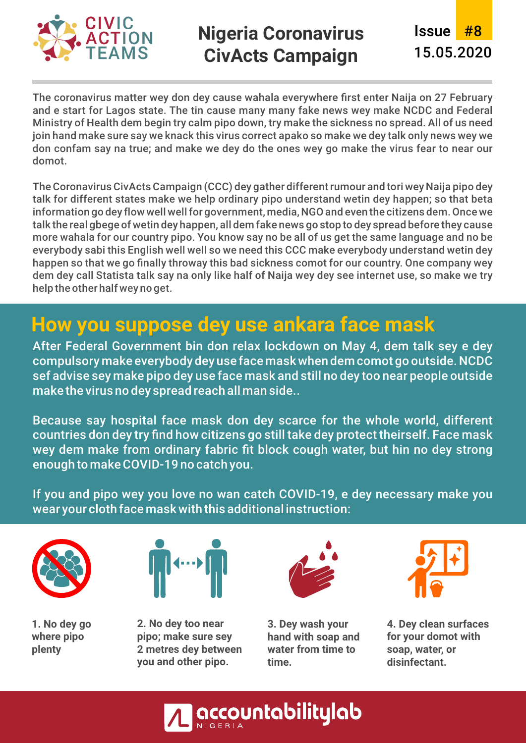

### **Nigeria Coronavirus CivActs Campaign**

Issue #8 15.05.2020

The coronavirus matter wey don dey cause wahala everywhere first enter Naija on 27 February and e start for Lagos state. The tin cause many many fake news wey make NCDC and Federal Ministry of Health dem begin try calm pipo down, try make the sickness no spread. All of us need join hand make sure say we knack this virus correct apako so make we dey talk only news wey we don confam say na true; and make we dey do the ones wey go make the virus fear to near our domot.

The Coronavirus CivActs Campaign (CCC) dey gather different rumour and tori wey Naija pipo dey talk for different states make we help ordinary pipo understand wetin dey happen; so that beta information go dey flow well well for government, media, NGO and even the citizens dem. Once we talk the real gbege of wetin dey happen, all dem fake news go stop to dey spread before they cause more wahala for our country pipo. You know say no be all of us get the same language and no be everybody sabi this English well well so we need this CCC make everybody understand wetin dey happen so that we go finally throway this bad sickness comot for our country. One company wey dem dey call Statista talk say na only like half of Naija wey dey see internet use, so make we try help the other half wey no get.

### **How you suppose dey use ankara face mask**

After Federal Government bin don relax lockdown on May 4, dem talk sey e dey compulsory make everybody dey use face mask when dem comot go outside. NCDC sef advise sey make pipo dey use face mask and still no dey too near people outside make the virus no dey spread reach all man side..

Because say hospital face mask don dey scarce for the whole world, different countries don dey try find how citizens go still take dey protect theirself. Face mask wey dem make from ordinary fabric fit block cough water, but hin no dey strong enough to make COVID-19 no catch you.

If you and pipo wey you love no wan catch COVID-19, e dey necessary make you wear your cloth face mask with this additional instruction:



**1. No dey go where pipo plenty**



**2. No dey too near pipo; make sure sey 2 metres dey between you and other pipo.**



**3. Dey wash your hand with soap and water from time to time.**



**4. Dey clean surfaces for your domot with soap, water, or disinfectant.** 

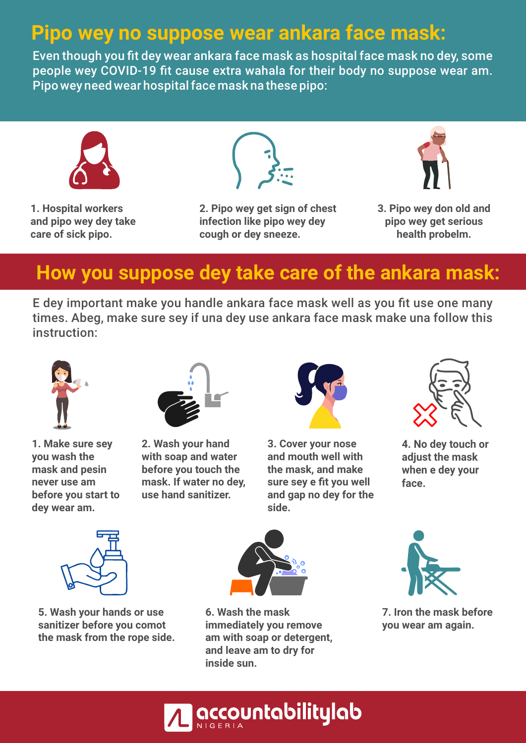### **Pipo wey no suppose wear ankara face mask:**

Even though you fit dey wear ankara face mask as hospital face mask no dey, some people wey COVID-19 fit cause extra wahala for their body no suppose wear am. Pipo wey need wear hospital face mask na these pipo:



**1. Hospital workers and pipo wey dey take care of sick pipo.**



**2. Pipo wey get sign of chest infection like pipo wey dey cough or dey sneeze.**



**3. Pipo wey don old and pipo wey get serious health probelm.**

### **How you suppose dey take care of the ankara mask:**

E dey important make you handle ankara face mask well as you fit use one many times. Abeg, make sure sey if una dey use ankara face mask make una follow this instruction:



**1. Make sure sey you wash the mask and pesin never use am before you start to dey wear am.**



**2. Wash your hand with soap and water before you touch the mask. If water no dey, use hand sanitizer.**



**3. Cover your nose and mouth well with the mask, and make sure sey e fit you well and gap no dey for the side.**



**4. No dey touch or adjust the mask when e dey your face.**



**5. Wash your hands or use sanitizer before you comot the mask from the rope side.**



**6. Wash the mask immediately you remove am with soap or detergent, and leave am to dry for inside sun.**



**7. Iron the mask before you wear am again.** 

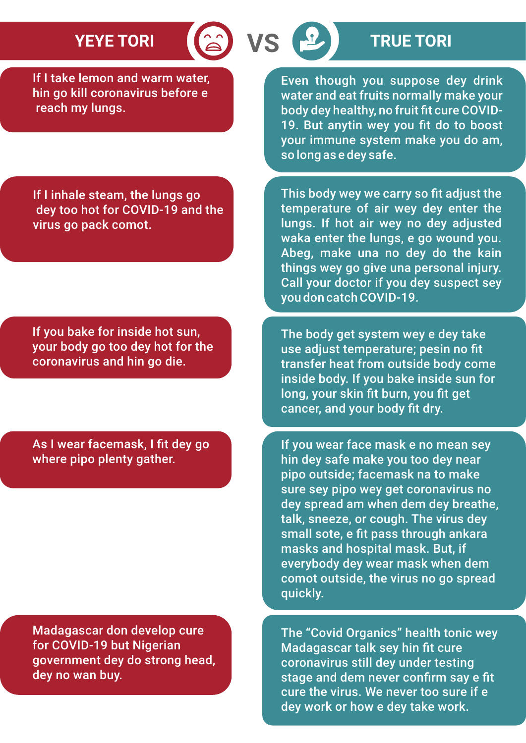If I take lemon and warm water, hin go kill coronavirus before e reach my lungs.

Even though you suppose dey drink water and eat fruits normally make your body dey healthy, no fruit fit cure COVID-19. But anytin wey you fit do to boost your immune system make you do am, so long as e dey safe.

This body wey we carry so fit adjust the temperature of air wey dey enter the lungs. If hot air wey no dey adjusted

If I inhale steam, the lungs go dey too hot for COVID-19 and the virus go pack comot.

If you bake for inside hot sun, your body go too dey hot for the coronavirus and hin go die.

As I wear facemask, I fit dey go where pipo plenty gather.

Madagascar don develop cure for COVID-19 but Nigerian government dey do strong head, dey no wan buy.

waka enter the lungs, e go wound you. Abeg, make una no dey do the kain things wey go give una personal injury. Call your doctor if you dey suspect sey you don catch COVID-19.

The body get system wey e dey take use adjust temperature; pesin no fit transfer heat from outside body come inside body. If you bake inside sun for long, your skin fit burn, you fit get cancer, and your body fit dry.

If you wear face mask e no mean sey hin dey safe make you too dey near pipo outside; facemask na to make sure sey pipo wey get coronavirus no dey spread am when dem dey breathe, talk, sneeze, or cough. The virus dey small sote, e fit pass through ankara masks and hospital mask. But, if everybody dey wear mask when dem comot outside, the virus no go spread quickly.

The "Covid Organics" health tonic wey Madagascar talk sey hin fit cure coronavirus still dey under testing stage and dem never confirm say e fit cure the virus. We never too sure if e dey work or how e dey take work.

# **YEYE TORI TRUE TORI**